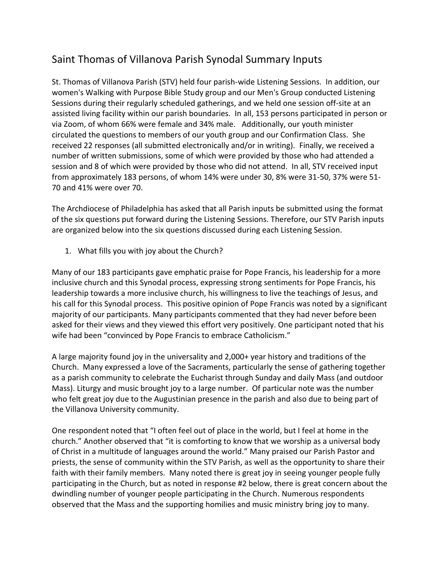## Saint Thomas of Villanova Parish Synodal Summary Inputs

St. Thomas of Villanova Parish (STV) held four parish-wide Listening Sessions. In addition, our women's Walking with Purpose Bible Study group and our Men's Group conducted Listening Sessions during their regularly scheduled gatherings, and we held one session off-site at an assisted living facility within our parish boundaries. In all, 153 persons participated in person or via Zoom, of whom 66% were female and 34% male. Additionally, our youth minister circulated the questions to members of our youth group and our Confirmation Class. She received 22 responses (all submitted electronically and/or in writing). Finally, we received a number of written submissions, some of which were provided by those who had attended a session and 8 of which were provided by those who did not attend. In all, STV received input from approximately 183 persons, of whom 14% were under 30, 8% were 31-50, 37% were 51- 70 and 41% were over 70.

The Archdiocese of Philadelphia has asked that all Parish inputs be submitted using the format of the six questions put forward during the Listening Sessions. Therefore, our STV Parish inputs are organized below into the six questions discussed during each Listening Session.

1. What fills you with joy about the Church?

Many of our 183 participants gave emphatic praise for Pope Francis, his leadership for a more inclusive church and this Synodal process, expressing strong sentiments for Pope Francis, his leadership towards a more inclusive church, his willingness to live the teachings of Jesus, and his call for this Synodal process. This positive opinion of Pope Francis was noted by a significant majority of our participants. Many participants commented that they had never before been asked for their views and they viewed this effort very positively. One participant noted that his wife had been "convinced by Pope Francis to embrace Catholicism."

A large majority found joy in the universality and 2,000+ year history and traditions of the Church. Many expressed a love of the Sacraments, particularly the sense of gathering together as a parish community to celebrate the Eucharist through Sunday and daily Mass (and outdoor Mass). Liturgy and music brought joy to a large number. Of particular note was the number who felt great joy due to the Augustinian presence in the parish and also due to being part of the Villanova University community.

One respondent noted that "I often feel out of place in the world, but I feel at home in the church." Another observed that "it is comforting to know that we worship as a universal body of Christ in a multitude of languages around the world." Many praised our Parish Pastor and priests, the sense of community within the STV Parish, as well as the opportunity to share their faith with their family members. Many noted there is great joy in seeing younger people fully participating in the Church, but as noted in response #2 below, there is great concern about the dwindling number of younger people participating in the Church. Numerous respondents observed that the Mass and the supporting homilies and music ministry bring joy to many.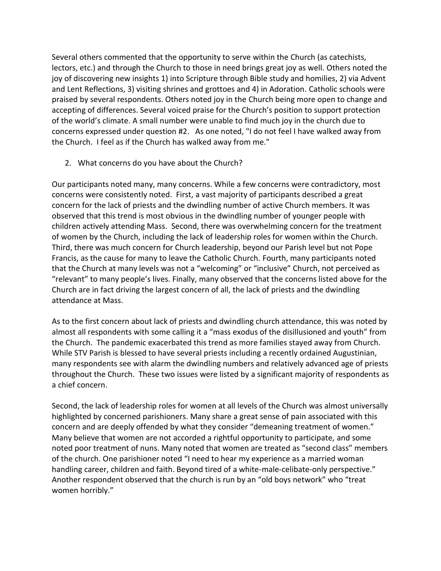Several others commented that the opportunity to serve within the Church (as catechists, lectors, etc.) and through the Church to those in need brings great joy as well. Others noted the joy of discovering new insights 1) into Scripture through Bible study and homilies, 2) via Advent and Lent Reflections, 3) visiting shrines and grottoes and 4) in Adoration. Catholic schools were praised by several respondents. Others noted joy in the Church being more open to change and accepting of differences. Several voiced praise for the Church's position to support protection of the world's climate. A small number were unable to find much joy in the church due to concerns expressed under question #2. As one noted, "I do not feel I have walked away from the Church. I feel as if the Church has walked away from me."

2. What concerns do you have about the Church?

Our participants noted many, many concerns. While a few concerns were contradictory, most concerns were consistently noted. First, a vast majority of participants described a great concern for the lack of priests and the dwindling number of active Church members. It was observed that this trend is most obvious in the dwindling number of younger people with children actively attending Mass. Second, there was overwhelming concern for the treatment of women by the Church, including the lack of leadership roles for women within the Church. Third, there was much concern for Church leadership, beyond our Parish level but not Pope Francis, as the cause for many to leave the Catholic Church. Fourth, many participants noted that the Church at many levels was not a "welcoming" or "inclusive" Church, not perceived as "relevant" to many people's lives. Finally, many observed that the concerns listed above for the Church are in fact driving the largest concern of all, the lack of priests and the dwindling attendance at Mass.

As to the first concern about lack of priests and dwindling church attendance, this was noted by almost all respondents with some calling it a "mass exodus of the disillusioned and youth" from the Church. The pandemic exacerbated this trend as more families stayed away from Church. While STV Parish is blessed to have several priests including a recently ordained Augustinian, many respondents see with alarm the dwindling numbers and relatively advanced age of priests throughout the Church. These two issues were listed by a significant majority of respondents as a chief concern.

Second, the lack of leadership roles for women at all levels of the Church was almost universally highlighted by concerned parishioners. Many share a great sense of pain associated with this concern and are deeply offended by what they consider "demeaning treatment of women." Many believe that women are not accorded a rightful opportunity to participate, and some noted poor treatment of nuns. Many noted that women are treated as "second class" members of the church. One parishioner noted "I need to hear my experience as a married woman handling career, children and faith. Beyond tired of a white-male-celibate-only perspective." Another respondent observed that the church is run by an "old boys network" who "treat women horribly."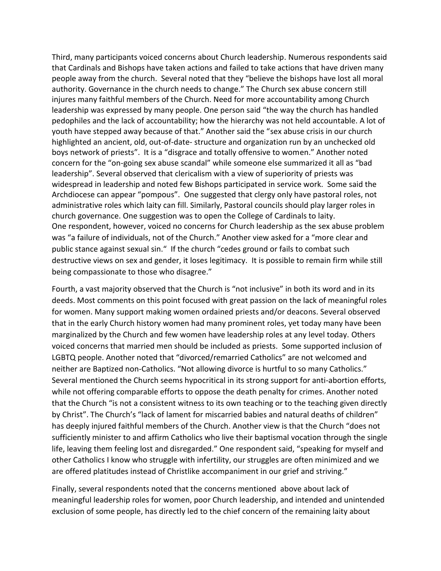Third, many participants voiced concerns about Church leadership. Numerous respondents said that Cardinals and Bishops have taken actions and failed to take actions that have driven many people away from the church. Several noted that they "believe the bishops have lost all moral authority. Governance in the church needs to change." The Church sex abuse concern still injures many faithful members of the Church. Need for more accountability among Church leadership was expressed by many people. One person said "the way the church has handled pedophiles and the lack of accountability; how the hierarchy was not held accountable. A lot of youth have stepped away because of that." Another said the "sex abuse crisis in our church highlighted an ancient, old, out-of-date- structure and organization run by an unchecked old boys network of priests". It is a "disgrace and totally offensive to women." Another noted concern for the "on-going sex abuse scandal" while someone else summarized it all as "bad leadership". Several observed that clericalism with a view of superiority of priests was widespread in leadership and noted few Bishops participated in service work. Some said the Archdiocese can appear "pompous". One suggested that clergy only have pastoral roles, not administrative roles which laity can fill. Similarly, Pastoral councils should play larger roles in church governance. One suggestion was to open the College of Cardinals to laity. One respondent, however, voiced no concerns for Church leadership as the sex abuse problem was "a failure of individuals, not of the Church." Another view asked for a "more clear and public stance against sexual sin." If the church "cedes ground or fails to combat such destructive views on sex and gender, it loses legitimacy. It is possible to remain firm while still being compassionate to those who disagree."

Fourth, a vast majority observed that the Church is "not inclusive" in both its word and in its deeds. Most comments on this point focused with great passion on the lack of meaningful roles for women. Many support making women ordained priests and/or deacons. Several observed that in the early Church history women had many prominent roles, yet today many have been marginalized by the Church and few women have leadership roles at any level today. Others voiced concerns that married men should be included as priests. Some supported inclusion of LGBTQ people. Another noted that "divorced/remarried Catholics" are not welcomed and neither are Baptized non-Catholics. "Not allowing divorce is hurtful to so many Catholics." Several mentioned the Church seems hypocritical in its strong support for anti-abortion efforts, while not offering comparable efforts to oppose the death penalty for crimes. Another noted that the Church "is not a consistent witness to its own teaching or to the teaching given directly by Christ". The Church's "lack of lament for miscarried babies and natural deaths of children" has deeply injured faithful members of the Church. Another view is that the Church "does not sufficiently minister to and affirm Catholics who live their baptismal vocation through the single life, leaving them feeling lost and disregarded." One respondent said, "speaking for myself and other Catholics I know who struggle with infertility, our struggles are often minimized and we are offered platitudes instead of Christlike accompaniment in our grief and striving."

Finally, several respondents noted that the concerns mentioned above about lack of meaningful leadership roles for women, poor Church leadership, and intended and unintended exclusion of some people, has directly led to the chief concern of the remaining laity about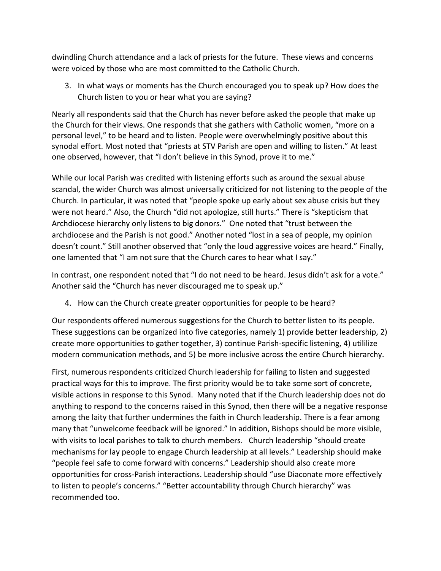dwindling Church attendance and a lack of priests for the future. These views and concerns were voiced by those who are most committed to the Catholic Church.

3. In what ways or moments has the Church encouraged you to speak up? How does the Church listen to you or hear what you are saying?

Nearly all respondents said that the Church has never before asked the people that make up the Church for their views. One responds that she gathers with Catholic women, "more on a personal level," to be heard and to listen. People were overwhelmingly positive about this synodal effort. Most noted that "priests at STV Parish are open and willing to listen." At least one observed, however, that "I don't believe in this Synod, prove it to me."

While our local Parish was credited with listening efforts such as around the sexual abuse scandal, the wider Church was almost universally criticized for not listening to the people of the Church. In particular, it was noted that "people spoke up early about sex abuse crisis but they were not heard." Also, the Church "did not apologize, still hurts." There is "skepticism that Archdiocese hierarchy only listens to big donors." One noted that "trust between the archdiocese and the Parish is not good." Another noted "lost in a sea of people, my opinion doesn't count." Still another observed that "only the loud aggressive voices are heard." Finally, one lamented that "I am not sure that the Church cares to hear what I say."

In contrast, one respondent noted that "I do not need to be heard. Jesus didn't ask for a vote." Another said the "Church has never discouraged me to speak up."

4. How can the Church create greater opportunities for people to be heard?

Our respondents offered numerous suggestions for the Church to better listen to its people. These suggestions can be organized into five categories, namely 1) provide better leadership, 2) create more opportunities to gather together, 3) continue Parish-specific listening, 4) utililize modern communication methods, and 5) be more inclusive across the entire Church hierarchy.

First, numerous respondents criticized Church leadership for failing to listen and suggested practical ways for this to improve. The first priority would be to take some sort of concrete, visible actions in response to this Synod. Many noted that if the Church leadership does not do anything to respond to the concerns raised in this Synod, then there will be a negative response among the laity that further undermines the faith in Church leadership. There is a fear among many that "unwelcome feedback will be ignored." In addition, Bishops should be more visible, with visits to local parishes to talk to church members. Church leadership "should create mechanisms for lay people to engage Church leadership at all levels." Leadership should make "people feel safe to come forward with concerns." Leadership should also create more opportunities for cross-Parish interactions. Leadership should "use Diaconate more effectively to listen to people's concerns." "Better accountability through Church hierarchy" was recommended too.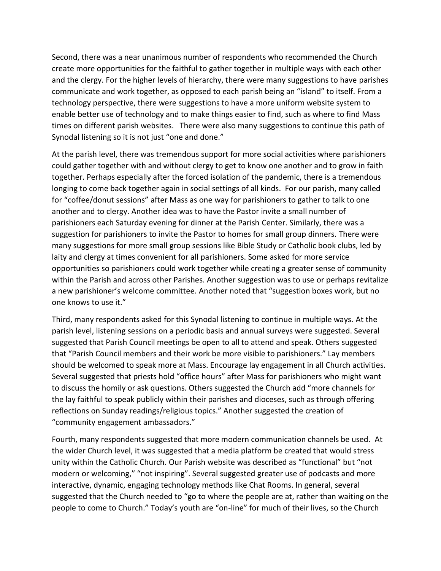Second, there was a near unanimous number of respondents who recommended the Church create more opportunities for the faithful to gather together in multiple ways with each other and the clergy. For the higher levels of hierarchy, there were many suggestions to have parishes communicate and work together, as opposed to each parish being an "island" to itself. From a technology perspective, there were suggestions to have a more uniform website system to enable better use of technology and to make things easier to find, such as where to find Mass times on different parish websites. There were also many suggestions to continue this path of Synodal listening so it is not just "one and done."

At the parish level, there was tremendous support for more social activities where parishioners could gather together with and without clergy to get to know one another and to grow in faith together. Perhaps especially after the forced isolation of the pandemic, there is a tremendous longing to come back together again in social settings of all kinds. For our parish, many called for "coffee/donut sessions" after Mass as one way for parishioners to gather to talk to one another and to clergy. Another idea was to have the Pastor invite a small number of parishioners each Saturday evening for dinner at the Parish Center. Similarly, there was a suggestion for parishioners to invite the Pastor to homes for small group dinners. There were many suggestions for more small group sessions like Bible Study or Catholic book clubs, led by laity and clergy at times convenient for all parishioners. Some asked for more service opportunities so parishioners could work together while creating a greater sense of community within the Parish and across other Parishes. Another suggestion was to use or perhaps revitalize a new parishioner's welcome committee. Another noted that "suggestion boxes work, but no one knows to use it."

Third, many respondents asked for this Synodal listening to continue in multiple ways. At the parish level, listening sessions on a periodic basis and annual surveys were suggested. Several suggested that Parish Council meetings be open to all to attend and speak. Others suggested that "Parish Council members and their work be more visible to parishioners." Lay members should be welcomed to speak more at Mass. Encourage lay engagement in all Church activities. Several suggested that priests hold "office hours" after Mass for parishioners who might want to discuss the homily or ask questions. Others suggested the Church add "more channels for the lay faithful to speak publicly within their parishes and dioceses, such as through offering reflections on Sunday readings/religious topics." Another suggested the creation of "community engagement ambassadors."

Fourth, many respondents suggested that more modern communication channels be used. At the wider Church level, it was suggested that a media platform be created that would stress unity within the Catholic Church. Our Parish website was described as "functional" but "not modern or welcoming," "not inspiring". Several suggested greater use of podcasts and more interactive, dynamic, engaging technology methods like Chat Rooms. In general, several suggested that the Church needed to "go to where the people are at, rather than waiting on the people to come to Church." Today's youth are "on-line" for much of their lives, so the Church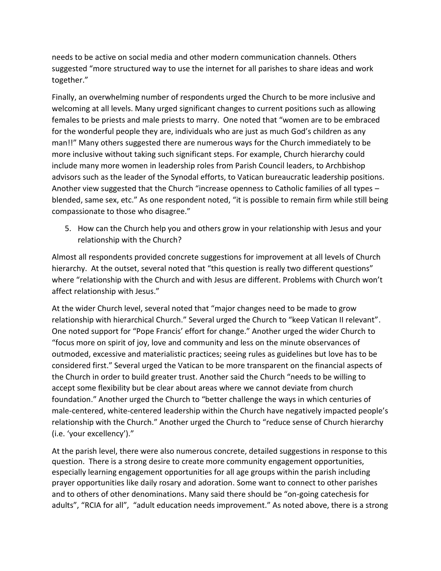needs to be active on social media and other modern communication channels. Others suggested "more structured way to use the internet for all parishes to share ideas and work together."

Finally, an overwhelming number of respondents urged the Church to be more inclusive and welcoming at all levels. Many urged significant changes to current positions such as allowing females to be priests and male priests to marry. One noted that "women are to be embraced for the wonderful people they are, individuals who are just as much God's children as any man!!" Many others suggested there are numerous ways for the Church immediately to be more inclusive without taking such significant steps. For example, Church hierarchy could include many more women in leadership roles from Parish Council leaders, to Archbishop advisors such as the leader of the Synodal efforts, to Vatican bureaucratic leadership positions. Another view suggested that the Church "increase openness to Catholic families of all types – blended, same sex, etc." As one respondent noted, "it is possible to remain firm while still being compassionate to those who disagree."

5. How can the Church help you and others grow in your relationship with Jesus and your relationship with the Church?

Almost all respondents provided concrete suggestions for improvement at all levels of Church hierarchy. At the outset, several noted that "this question is really two different questions" where "relationship with the Church and with Jesus are different. Problems with Church won't affect relationship with Jesus."

At the wider Church level, several noted that "major changes need to be made to grow relationship with hierarchical Church." Several urged the Church to "keep Vatican II relevant". One noted support for "Pope Francis' effort for change." Another urged the wider Church to "focus more on spirit of joy, love and community and less on the minute observances of outmoded, excessive and materialistic practices; seeing rules as guidelines but love has to be considered first." Several urged the Vatican to be more transparent on the financial aspects of the Church in order to build greater trust. Another said the Church "needs to be willing to accept some flexibility but be clear about areas where we cannot deviate from church foundation." Another urged the Church to "better challenge the ways in which centuries of male-centered, white-centered leadership within the Church have negatively impacted people's relationship with the Church." Another urged the Church to "reduce sense of Church hierarchy (i.e. 'your excellency')."

At the parish level, there were also numerous concrete, detailed suggestions in response to this question. There is a strong desire to create more community engagement opportunities, especially learning engagement opportunities for all age groups within the parish including prayer opportunities like daily rosary and adoration. Some want to connect to other parishes and to others of other denominations. Many said there should be "on-going catechesis for adults", "RCIA for all", "adult education needs improvement." As noted above, there is a strong